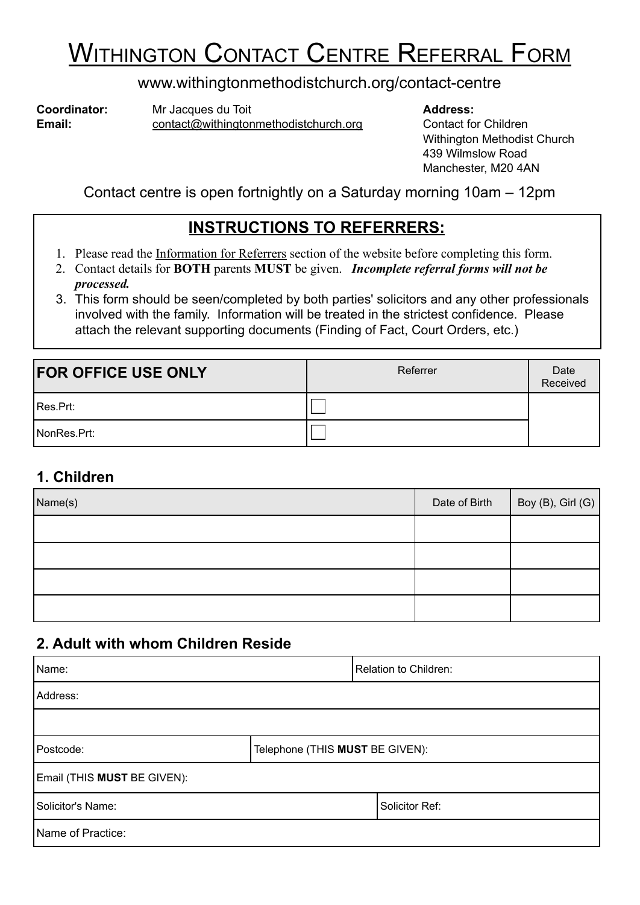# **WITHINGTON CONTACT CENTRE REFERRAL FORM**

### www.withingtonmethodistchurch.org/contact-centre

**Coordinator:** Mr Jacques du Toit **Address:** Address: **Email:** contact@withingtonmethodistchurch.org Contact for Children

Withington Methodist Church 439 Wilmslow Road Manchester, M20 4AN

Contact centre is open fortnightly on a Saturday morning 10am – 12pm

## **INSTRUCTIONS TO REFERRERS:**

- 1. Please read the Information for Referrers section of the website before completing this form.
- 2. Contact details for **BOTH** parents **MUST** be given. *Incomplete referral forms will not be processed.*
- 3. This form should be seen/completed by both parties' solicitors and any other professionals involved with the family. Information will be treated in the strictest confidence. Please attach the relevant supporting documents (Finding of Fact, Court Orders, etc.)

| <b>FOR OFFICE USE ONLY</b> | Referrer | Date<br>Received |
|----------------------------|----------|------------------|
| Res.Prt:                   |          |                  |
| NonRes.Prt:                |          |                  |

### **1. Children**

| Name(s) | Date of Birth | Boy (B), Girl (G) |
|---------|---------------|-------------------|
|         |               |                   |
|         |               |                   |
|         |               |                   |
|         |               |                   |

### **2. Adult with whom Children Reside**

| Name:                       |                                 | Relation to Children: |
|-----------------------------|---------------------------------|-----------------------|
| Address:                    |                                 |                       |
|                             |                                 |                       |
| Postcode:                   | Telephone (THIS MUST BE GIVEN): |                       |
| Email (THIS MUST BE GIVEN): |                                 |                       |
| Solicitor's Name:           |                                 | Solicitor Ref:        |
| Name of Practice:           |                                 |                       |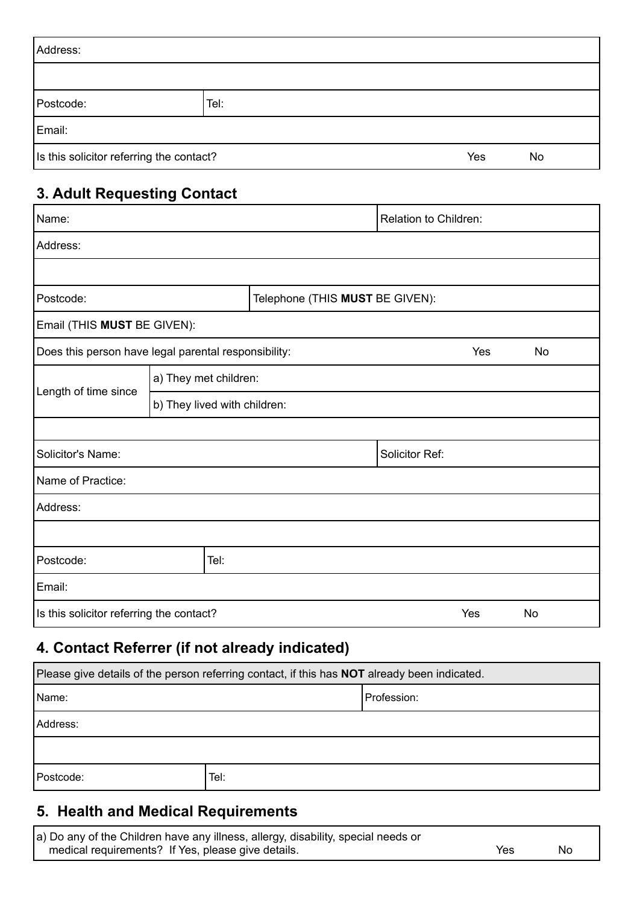| Address:                                              |      |  |  |  |  |
|-------------------------------------------------------|------|--|--|--|--|
|                                                       |      |  |  |  |  |
| Postcode:                                             | Tel: |  |  |  |  |
| Email:                                                |      |  |  |  |  |
| Is this solicitor referring the contact?<br>Yes<br>No |      |  |  |  |  |

## **3. Adult Requesting Contact**

| Name:                                                        |                              | Relation to Children: |                                 |                |     |           |
|--------------------------------------------------------------|------------------------------|-----------------------|---------------------------------|----------------|-----|-----------|
| Address:                                                     |                              |                       |                                 |                |     |           |
|                                                              |                              |                       |                                 |                |     |           |
| Postcode:                                                    |                              |                       | Telephone (THIS MUST BE GIVEN): |                |     |           |
| Email (THIS MUST BE GIVEN):                                  |                              |                       |                                 |                |     |           |
| Does this person have legal parental responsibility:         |                              |                       |                                 |                | Yes | <b>No</b> |
|                                                              | a) They met children:        |                       |                                 |                |     |           |
| Length of time since                                         | b) They lived with children: |                       |                                 |                |     |           |
|                                                              |                              |                       |                                 |                |     |           |
| Solicitor's Name:                                            |                              |                       |                                 | Solicitor Ref: |     |           |
| Name of Practice:                                            |                              |                       |                                 |                |     |           |
| Address:                                                     |                              |                       |                                 |                |     |           |
|                                                              |                              |                       |                                 |                |     |           |
| Postcode:<br>Tel:                                            |                              |                       |                                 |                |     |           |
| Email:                                                       |                              |                       |                                 |                |     |           |
| Is this solicitor referring the contact?<br>Yes<br><b>No</b> |                              |                       |                                 |                |     |           |

# **4. Contact Referrer (if not already indicated)**

| Please give details of the person referring contact, if this has <b>NOT</b> already been indicated. |  |  |  |  |
|-----------------------------------------------------------------------------------------------------|--|--|--|--|
| Name:<br>Profession:                                                                                |  |  |  |  |
| Address:                                                                                            |  |  |  |  |
|                                                                                                     |  |  |  |  |
| Tel:<br>Postcode:                                                                                   |  |  |  |  |

# **5. Health and Medical Requirements**

| a) Do any of the Children have any illness, allergy, disability, special needs or |      |    |
|-----------------------------------------------------------------------------------|------|----|
| medical requirements? If Yes, please give details.                                | Yes. | No |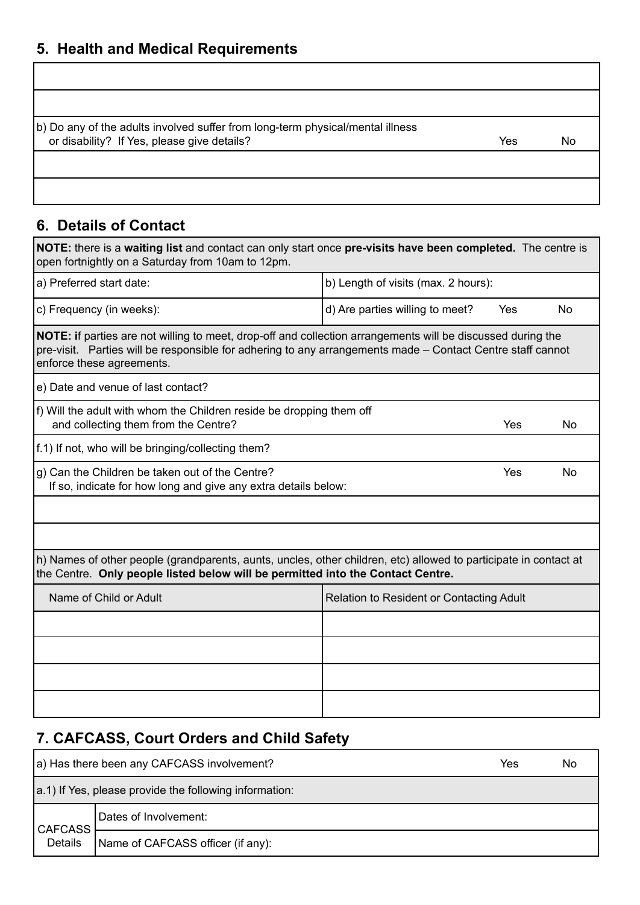## **5. Health and Medical Requirements**

| (b) Do any of the adults involved suffer from long-term physical/mental illness<br>or disability? If Yes, please give details? | Yes | No |
|--------------------------------------------------------------------------------------------------------------------------------|-----|----|
|                                                                                                                                |     |    |
|                                                                                                                                |     |    |

# **6. Details of Contact**

г

| NOTE: there is a waiting list and contact can only start once pre-visits have been completed. The centre is<br>open fortnightly on a Saturday from 10am to 12pm.                                                                                       |                                          |     |           |
|--------------------------------------------------------------------------------------------------------------------------------------------------------------------------------------------------------------------------------------------------------|------------------------------------------|-----|-----------|
| a) Preferred start date:                                                                                                                                                                                                                               | b) Length of visits (max. 2 hours):      |     |           |
| c) Frequency (in weeks):                                                                                                                                                                                                                               | d) Are parties willing to meet?          | Yes | No        |
| NOTE: if parties are not willing to meet, drop-off and collection arrangements will be discussed during the<br>pre-visit. Parties will be responsible for adhering to any arrangements made – Contact Centre staff cannot<br>enforce these agreements. |                                          |     |           |
| e) Date and venue of last contact?                                                                                                                                                                                                                     |                                          |     |           |
| f) Will the adult with whom the Children reside be dropping them off<br>and collecting them from the Centre?                                                                                                                                           |                                          | Yes | <b>No</b> |
| f.1) If not, who will be bringing/collecting them?                                                                                                                                                                                                     |                                          |     |           |
| g) Can the Children be taken out of the Centre?<br>If so, indicate for how long and give any extra details below:                                                                                                                                      |                                          | Yes | <b>No</b> |
|                                                                                                                                                                                                                                                        |                                          |     |           |
|                                                                                                                                                                                                                                                        |                                          |     |           |
| h) Names of other people (grandparents, aunts, uncles, other children, etc) allowed to participate in contact at<br>the Centre. Only people listed below will be permitted into the Contact Centre.                                                    |                                          |     |           |
| Name of Child or Adult                                                                                                                                                                                                                                 | Relation to Resident or Contacting Adult |     |           |
|                                                                                                                                                                                                                                                        |                                          |     |           |
|                                                                                                                                                                                                                                                        |                                          |     |           |
|                                                                                                                                                                                                                                                        |                                          |     |           |
|                                                                                                                                                                                                                                                        |                                          |     |           |

## **7. CAFCASS, Court Orders and Child Safety**

| a) Has there been any CAFCASS involvement? |                                                        | Yes | Nο |
|--------------------------------------------|--------------------------------------------------------|-----|----|
|                                            | a.1) If Yes, please provide the following information: |     |    |
| <b>CAFCASS</b>                             | Dates of Involvement:                                  |     |    |
| Details                                    | Name of CAFCASS officer (if any):                      |     |    |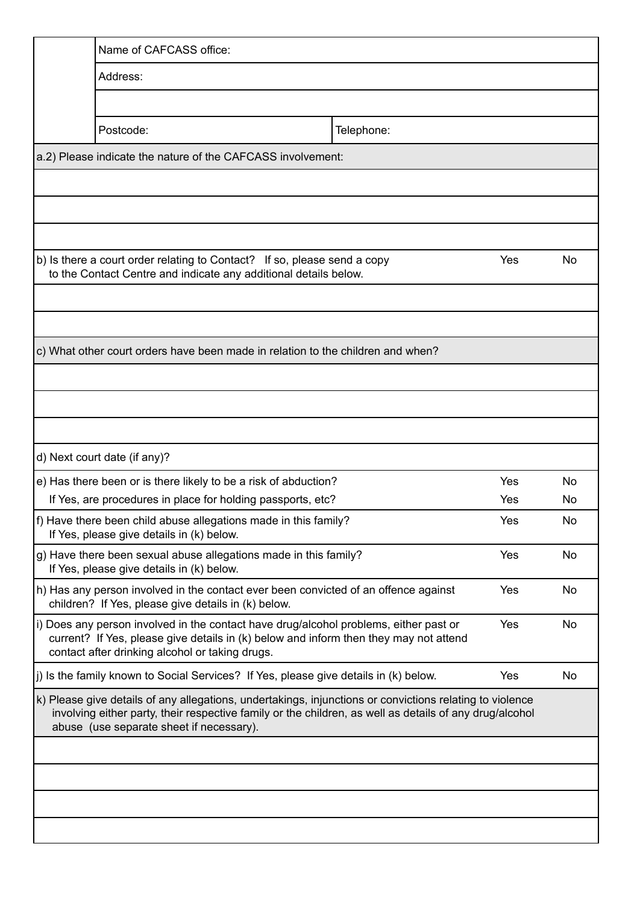| Name of CAFCASS office:                                                                                                                                                                                                                                         |            |     |    |
|-----------------------------------------------------------------------------------------------------------------------------------------------------------------------------------------------------------------------------------------------------------------|------------|-----|----|
| Address:                                                                                                                                                                                                                                                        |            |     |    |
|                                                                                                                                                                                                                                                                 |            |     |    |
| Postcode:                                                                                                                                                                                                                                                       | Telephone: |     |    |
| a.2) Please indicate the nature of the CAFCASS involvement:                                                                                                                                                                                                     |            |     |    |
|                                                                                                                                                                                                                                                                 |            |     |    |
|                                                                                                                                                                                                                                                                 |            |     |    |
|                                                                                                                                                                                                                                                                 |            |     |    |
| b) Is there a court order relating to Contact? If so, please send a copy<br>to the Contact Centre and indicate any additional details below.                                                                                                                    |            | Yes | No |
|                                                                                                                                                                                                                                                                 |            |     |    |
|                                                                                                                                                                                                                                                                 |            |     |    |
| c) What other court orders have been made in relation to the children and when?                                                                                                                                                                                 |            |     |    |
|                                                                                                                                                                                                                                                                 |            |     |    |
|                                                                                                                                                                                                                                                                 |            |     |    |
|                                                                                                                                                                                                                                                                 |            |     |    |
| d) Next court date (if any)?                                                                                                                                                                                                                                    |            |     |    |
| e) Has there been or is there likely to be a risk of abduction?                                                                                                                                                                                                 |            | Yes | No |
| If Yes, are procedures in place for holding passports, etc?                                                                                                                                                                                                     |            | Yes | No |
| f) Have there been child abuse allegations made in this family?<br>If Yes, please give details in (k) below.                                                                                                                                                    |            | Yes | No |
| g) Have there been sexual abuse allegations made in this family?<br>If Yes, please give details in (k) below.                                                                                                                                                   |            | Yes | No |
| h) Has any person involved in the contact ever been convicted of an offence against<br>children? If Yes, please give details in (k) below.                                                                                                                      |            | Yes | No |
| i) Does any person involved in the contact have drug/alcohol problems, either past or<br>current? If Yes, please give details in (k) below and inform then they may not attend<br>contact after drinking alcohol or taking drugs.                               |            | Yes | No |
| $ j\rangle$ is the family known to Social Services? If Yes, please give details in $(k)$ below.                                                                                                                                                                 |            | Yes | No |
| k) Please give details of any allegations, undertakings, injunctions or convictions relating to violence<br>involving either party, their respective family or the children, as well as details of any drug/alcohol<br>abuse (use separate sheet if necessary). |            |     |    |
|                                                                                                                                                                                                                                                                 |            |     |    |
|                                                                                                                                                                                                                                                                 |            |     |    |
|                                                                                                                                                                                                                                                                 |            |     |    |
|                                                                                                                                                                                                                                                                 |            |     |    |
|                                                                                                                                                                                                                                                                 |            |     |    |